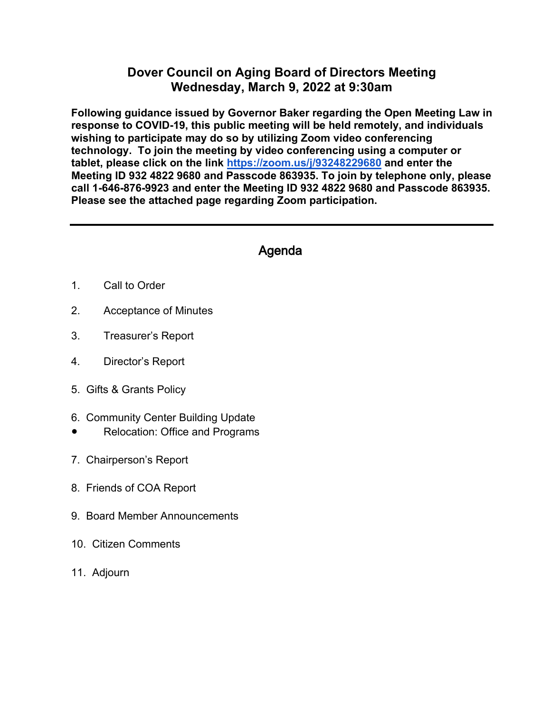## **Dover Council on Aging Board of Directors Meeting Wednesday, March 9, 2022 at 9:30am**

**Following guidance issued by Governor Baker regarding the Open Meeting Law in response to COVID-19, this public meeting will be held remotely, and individuals wishing to participate may do so by utilizing Zoom video conferencing technology. To join the meeting by video conferencing using a computer or tablet, please click on the link<https://zoom.us/j/93248229680> and enter the Meeting ID 932 4822 9680 and Passcode 863935. To join by telephone only, please call 1-646-876-9923 and enter the Meeting ID 932 4822 9680 and Passcode 863935. Please see the attached page regarding Zoom participation.** 

## Agenda

- 1. Call to Order
- 2. Acceptance of Minutes
- 3. Treasurer's Report
- 4. Director's Report
- 5. Gifts & Grants Policy
- 6. Community Center Building Update
- **Relocation: Office and Programs**
- 7. Chairperson's Report
- 8. Friends of COA Report
- 9. Board Member Announcements
- 10. Citizen Comments
- 11. Adjourn